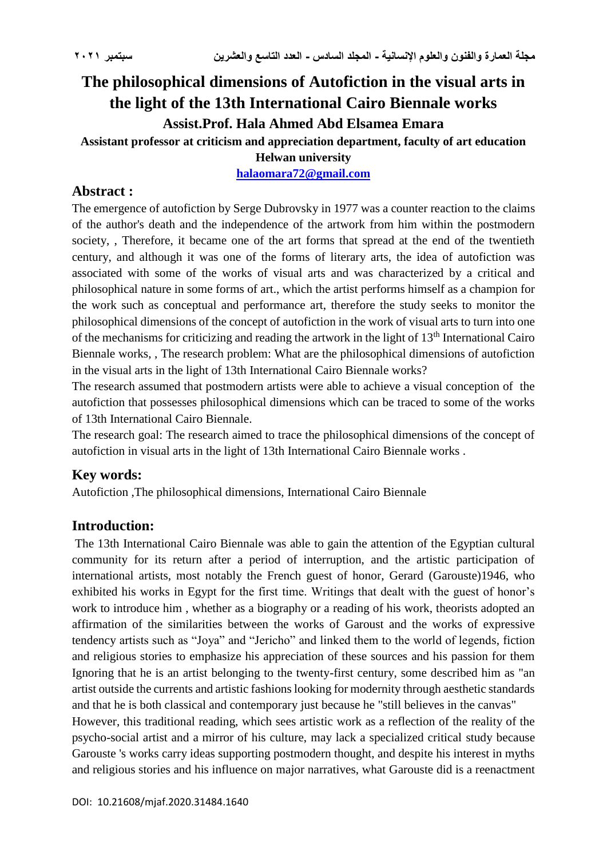# **The philosophical dimensions of Autofiction in the visual arts in the light of the 13th International Cairo Biennale works Assist.Prof. Hala Ahmed Abd Elsamea Emara**

**Assistant professor at criticism and appreciation department, faculty of art education**

**Helwan university**

**[halaomara72@gmail.com](mailto:halaomara72@gmail.com)**

### **Abstract :**

The emergence of autofiction by Serge Dubrovsky in 1977 was a counter reaction to the claims of the author's death and the independence of the artwork from him within the postmodern society. Therefore, it became one of the art forms that spread at the end of the twentieth century, and although it was one of the forms of literary arts, the idea of autofiction was associated with some of the works of visual arts and was characterized by a critical and philosophical nature in some forms of art., which the artist performs himself as a champion for the work such as conceptual and performance art, therefore the study seeks to monitor the philosophical dimensions of the concept of autofiction in the work of visual arts to turn into one of the mechanisms for criticizing and reading the artwork in the light of  $13<sup>th</sup>$  International Cairo Biennale works, , The research problem: What are the philosophical dimensions of autofiction in the visual arts in the light of 13th International Cairo Biennale works?

The research assumed that postmodern artists were able to achieve a visual conception of the autofiction that possesses philosophical dimensions which can be traced to some of the works of 13th International Cairo Biennale.

The research goal: The research aimed to trace the philosophical dimensions of the concept of autofiction in visual arts in the light of 13th International Cairo Biennale works .

### **Key words:**

Autofiction ,The philosophical dimensions, International Cairo Biennale

### **Introduction:**

The 13th International Cairo Biennale was able to gain the attention of the Egyptian cultural community for its return after a period of interruption, and the artistic participation of international artists, most notably the French guest of honor, Gerard (Garouste)1946, who exhibited his works in Egypt for the first time. Writings that dealt with the guest of honor's work to introduce him , whether as a biography or a reading of his work, theorists adopted an affirmation of the similarities between the works of Garoust and the works of expressive tendency artists such as "Joya" and "Jericho" and linked them to the world of legends, fiction and religious stories to emphasize his appreciation of these sources and his passion for them Ignoring that he is an artist belonging to the twenty-first century, some described him as "an artist outside the currents and artistic fashions looking for modernity through aesthetic standards and that he is both classical and contemporary just because he "still believes in the canvas"

However, this traditional reading, which sees artistic work as a reflection of the reality of the psycho-social artist and a mirror of his culture, may lack a specialized critical study because Garouste 's works carry ideas supporting postmodern thought, and despite his interest in myths and religious stories and his influence on major narratives, what Garouste did is a reenactment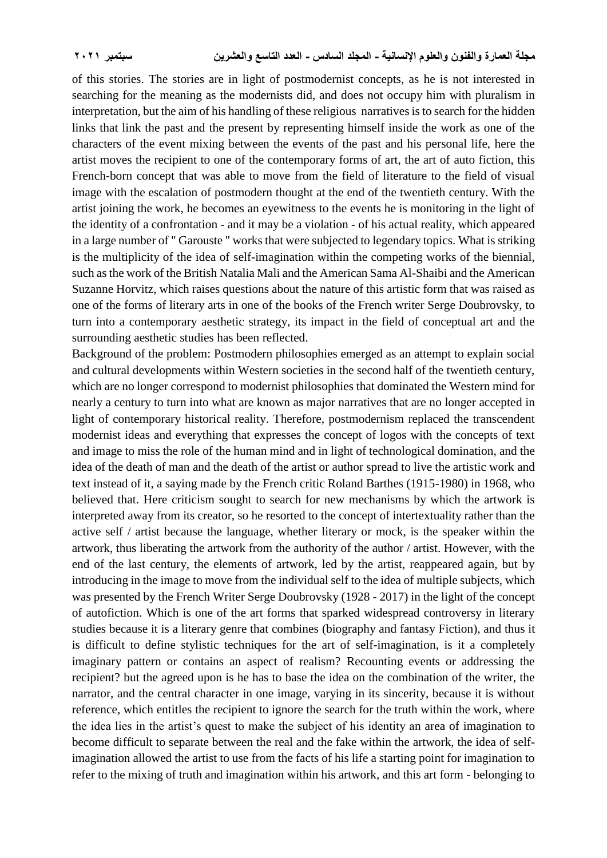of this stories. The stories are in light of postmodernist concepts, as he is not interested in searching for the meaning as the modernists did, and does not occupy him with pluralism in interpretation, but the aim of his handling of these religious narratives is to search for the hidden links that link the past and the present by representing himself inside the work as one of the characters of the event mixing between the events of the past and his personal life, here the artist moves the recipient to one of the contemporary forms of art, the art of auto fiction, this French-born concept that was able to move from the field of literature to the field of visual image with the escalation of postmodern thought at the end of the twentieth century. With the artist joining the work, he becomes an eyewitness to the events he is monitoring in the light of the identity of a confrontation - and it may be a violation - of his actual reality, which appeared in a large number of " Garouste " works that were subjected to legendary topics. What is striking is the multiplicity of the idea of self-imagination within the competing works of the biennial, such as the work of the British Natalia Mali and the American Sama Al-Shaibi and the American Suzanne Horvitz, which raises questions about the nature of this artistic form that was raised as one of the forms of literary arts in one of the books of the French writer Serge Doubrovsky, to turn into a contemporary aesthetic strategy, its impact in the field of conceptual art and the surrounding aesthetic studies has been reflected.

Background of the problem: Postmodern philosophies emerged as an attempt to explain social and cultural developments within Western societies in the second half of the twentieth century, which are no longer correspond to modernist philosophies that dominated the Western mind for nearly a century to turn into what are known as major narratives that are no longer accepted in light of contemporary historical reality. Therefore, postmodernism replaced the transcendent modernist ideas and everything that expresses the concept of logos with the concepts of text and image to miss the role of the human mind and in light of technological domination, and the idea of the death of man and the death of the artist or author spread to live the artistic work and text instead of it, a saying made by the French critic Roland Barthes (1915-1980) in 1968, who believed that. Here criticism sought to search for new mechanisms by which the artwork is interpreted away from its creator, so he resorted to the concept of intertextuality rather than the active self / artist because the language, whether literary or mock, is the speaker within the artwork, thus liberating the artwork from the authority of the author / artist. However, with the end of the last century, the elements of artwork, led by the artist, reappeared again, but by introducing in the image to move from the individual self to the idea of multiple subjects, which was presented by the French Writer Serge Doubrovsky (1928 - 2017) in the light of the concept of autofiction. Which is one of the art forms that sparked widespread controversy in literary studies because it is a literary genre that combines (biography and fantasy Fiction), and thus it is difficult to define stylistic techniques for the art of self-imagination, is it a completely imaginary pattern or contains an aspect of realism? Recounting events or addressing the recipient? but the agreed upon is he has to base the idea on the combination of the writer, the narrator, and the central character in one image, varying in its sincerity, because it is without reference, which entitles the recipient to ignore the search for the truth within the work, where the idea lies in the artist's quest to make the subject of his identity an area of imagination to become difficult to separate between the real and the fake within the artwork, the idea of selfimagination allowed the artist to use from the facts of his life a starting point for imagination to refer to the mixing of truth and imagination within his artwork, and this art form - belonging to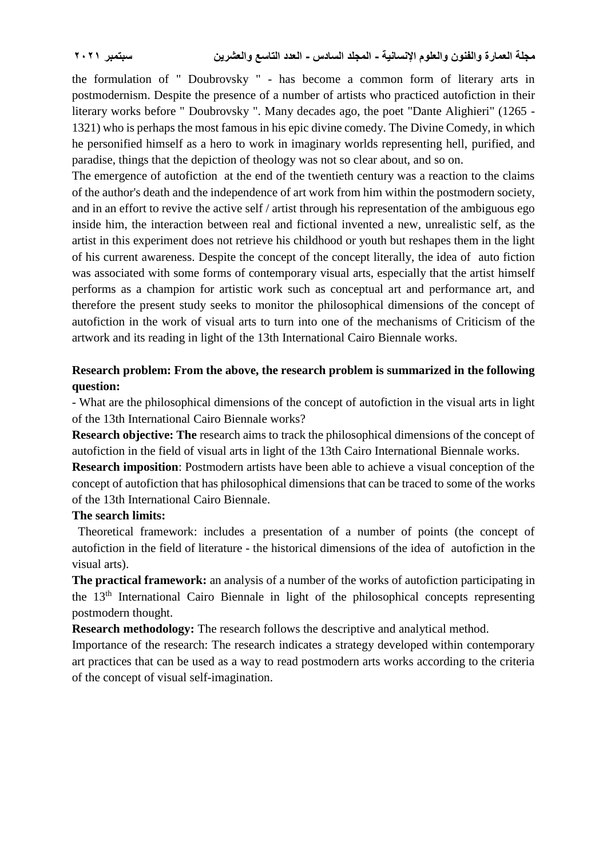the formulation of " Doubrovsky " - has become a common form of literary arts in postmodernism. Despite the presence of a number of artists who practiced autofiction in their literary works before " Doubrovsky ". Many decades ago, the poet "Dante Alighieri" (1265 - 1321) who is perhaps the most famous in his epic divine comedy. The Divine Comedy, in which he personified himself as a hero to work in imaginary worlds representing hell, purified, and paradise, things that the depiction of theology was not so clear about, and so on.

The emergence of autofiction at the end of the twentieth century was a reaction to the claims of the author's death and the independence of art work from him within the postmodern society, and in an effort to revive the active self / artist through his representation of the ambiguous ego inside him, the interaction between real and fictional invented a new, unrealistic self, as the artist in this experiment does not retrieve his childhood or youth but reshapes them in the light of his current awareness. Despite the concept of the concept literally, the idea of auto fiction was associated with some forms of contemporary visual arts, especially that the artist himself performs as a champion for artistic work such as conceptual art and performance art, and therefore the present study seeks to monitor the philosophical dimensions of the concept of autofiction in the work of visual arts to turn into one of the mechanisms of Criticism of the artwork and its reading in light of the 13th International Cairo Biennale works.

### **Research problem: From the above, the research problem is summarized in the following question:**

- What are the philosophical dimensions of the concept of autofiction in the visual arts in light of the 13th International Cairo Biennale works?

**Research objective: The** research aims to track the philosophical dimensions of the concept of autofiction in the field of visual arts in light of the 13th Cairo International Biennale works.

**Research imposition**: Postmodern artists have been able to achieve a visual conception of the concept of autofiction that has philosophical dimensions that can be traced to some of the works of the 13th International Cairo Biennale.

### **The search limits:**

 Theoretical framework: includes a presentation of a number of points (the concept of autofiction in the field of literature - the historical dimensions of the idea of autofiction in the visual arts).

**The practical framework:** an analysis of a number of the works of autofiction participating in the 13th International Cairo Biennale in light of the philosophical concepts representing postmodern thought.

**Research methodology:** The research follows the descriptive and analytical method.

Importance of the research: The research indicates a strategy developed within contemporary art practices that can be used as a way to read postmodern arts works according to the criteria of the concept of visual self-imagination.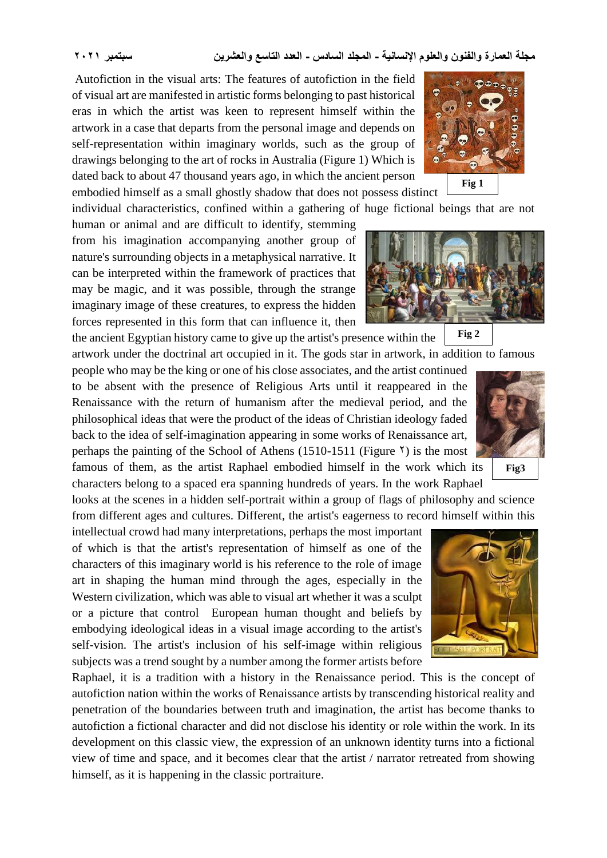**مجلة العمارة والفنون والعلوم اإلنسانية - المجلد السادس - العدد التاسع والعشرين سبتمبر 2021**

Autofiction in the visual arts: The features of autofiction in the field of visual art are manifested in artistic forms belonging to past historical eras in which the artist was keen to represent himself within the artwork in a case that departs from the personal image and depends on self-representation within imaginary worlds, such as the group of drawings belonging to the art of rocks in Australia (Figure 1) Which is dated back to about 47 thousand years ago, in which the ancient person embodied himself as a small ghostly shadow that does not possess distinct

individual characteristics, confined within a gathering of huge fictional beings that are not

human or animal and are difficult to identify, stemming from his imagination accompanying another group of nature's surrounding objects in a metaphysical narrative. It can be interpreted within the framework of practices that may be magic, and it was possible, through the strange imaginary image of these creatures, to express the hidden forces represented in this form that can influence it, then

the ancient Egyptian history came to give up the artist's presence within the

artwork under the doctrinal art occupied in it. The gods star in artwork, in addition to famous people who may be the king or one of his close associates, and the artist continued

to be absent with the presence of Religious Arts until it reappeared in the Renaissance with the return of humanism after the medieval period, and the philosophical ideas that were the product of the ideas of Christian ideology faded back to the idea of self-imagination appearing in some works of Renaissance art, perhaps the painting of the School of Athens (1510-1511 (Figure  $\gamma$ ) is the most famous of them, as the artist Raphael embodied himself in the work which its characters belong to a spaced era spanning hundreds of years. In the work Raphael

looks at the scenes in a hidden self-portrait within a group of flags of philosophy and science from different ages and cultures. Different, the artist's eagerness to record himself within this

intellectual crowd had many interpretations, perhaps the most important of which is that the artist's representation of himself as one of the characters of this imaginary world is his reference to the role of image art in shaping the human mind through the ages, especially in the Western civilization, which was able to visual art whether it was a sculpt or a picture that control European human thought and beliefs by embodying ideological ideas in a visual image according to the artist's self-vision. The artist's inclusion of his self-image within religious subjects was a trend sought by a number among the former artists before

Raphael, it is a tradition with a history in the Renaissance period. This is the concept of autofiction nation within the works of Renaissance artists by transcending historical reality and penetration of the boundaries between truth and imagination, the artist has become thanks to autofiction a fictional character and did not disclose his identity or role within the work. In its development on this classic view, the expression of an unknown identity turns into a fictional view of time and space, and it becomes clear that the artist / narrator retreated from showing himself, as it is happening in the classic portraiture.







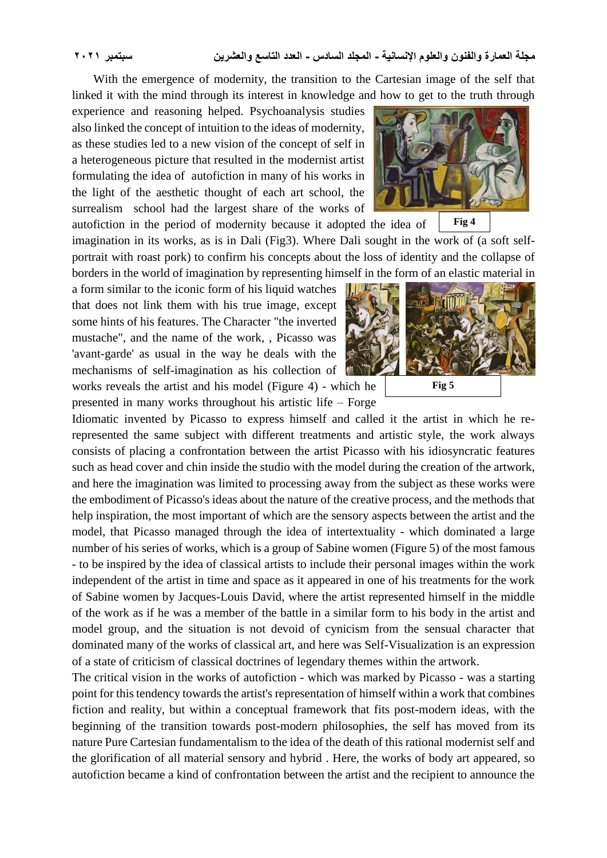With the emergence of modernity, the transition to the Cartesian image of the self that linked it with the mind through its interest in knowledge and how to get to the truth through

experience and reasoning helped. Psychoanalysis studies also linked the concept of intuition to the ideas of modernity, as these studies led to a new vision of the concept of self in a heterogeneous picture that resulted in the modernist artist formulating the idea of autofiction in many of his works in the light of the aesthetic thought of each art school, the surrealism school had the largest share of the works of



a form similar to the iconic form of his liquid watches that does not link them with his true image, except some hints of his features. The Character "the inverted mustache", and the name of the work, , Picasso was 'avant-garde' as usual in the way he deals with the mechanisms of self-imagination as his collection of works reveals the artist and his model (Figure 4) - which he presented in many works throughout his artistic life – Forge



Idiomatic invented by Picasso to express himself and called it the artist in which he rerepresented the same subject with different treatments and artistic style, the work always consists of placing a confrontation between the artist Picasso with his idiosyncratic features such as head cover and chin inside the studio with the model during the creation of the artwork, and here the imagination was limited to processing away from the subject as these works were the embodiment of Picasso's ideas about the nature of the creative process, and the methods that help inspiration, the most important of which are the sensory aspects between the artist and the model, that Picasso managed through the idea of intertextuality - which dominated a large number of his series of works, which is a group of Sabine women (Figure 5) of the most famous - to be inspired by the idea of classical artists to include their personal images within the work independent of the artist in time and space as it appeared in one of his treatments for the work of Sabine women by Jacques-Louis David, where the artist represented himself in the middle of the work as if he was a member of the battle in a similar form to his body in the artist and model group, and the situation is not devoid of cynicism from the sensual character that dominated many of the works of classical art, and here was Self-Visualization is an expression of a state of criticism of classical doctrines of legendary themes within the artwork.

The critical vision in the works of autofiction - which was marked by Picasso - was a starting point for this tendency towards the artist's representation of himself within a work that combines fiction and reality, but within a conceptual framework that fits post-modern ideas, with the beginning of the transition towards post-modern philosophies, the self has moved from its nature Pure Cartesian fundamentalism to the idea of the death of this rational modernist self and the glorification of all material sensory and hybrid . Here, the works of body art appeared, so autofiction became a kind of confrontation between the artist and the recipient to announce the

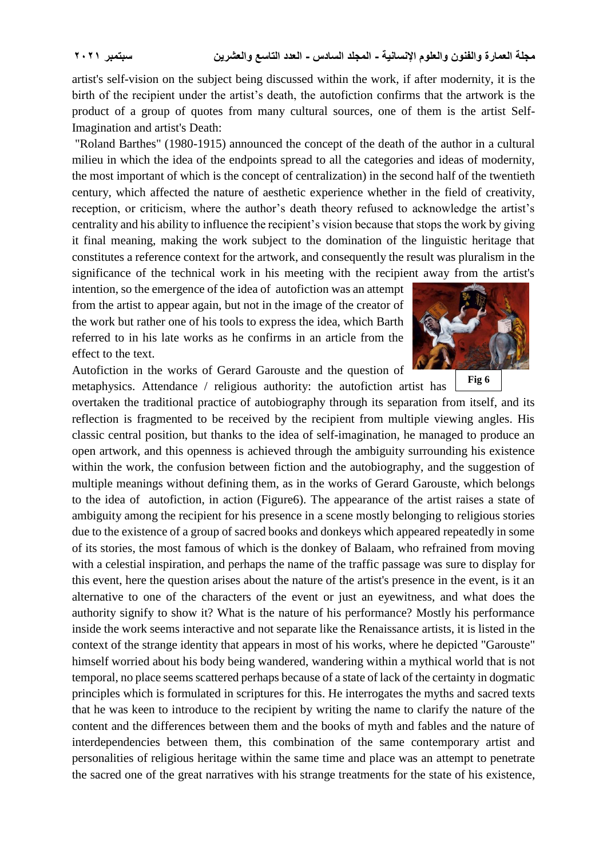artist's self-vision on the subject being discussed within the work, if after modernity, it is the birth of the recipient under the artist's death, the autofiction confirms that the artwork is the product of a group of quotes from many cultural sources, one of them is the artist Self-Imagination and artist's Death:

"Roland Barthes" (1980-1915) announced the concept of the death of the author in a cultural milieu in which the idea of the endpoints spread to all the categories and ideas of modernity, the most important of which is the concept of centralization) in the second half of the twentieth century, which affected the nature of aesthetic experience whether in the field of creativity, reception, or criticism, where the author's death theory refused to acknowledge the artist's centrality and his ability to influence the recipient's vision because that stops the work by giving it final meaning, making the work subject to the domination of the linguistic heritage that constitutes a reference context for the artwork, and consequently the result was pluralism in the significance of the technical work in his meeting with the recipient away from the artist's

intention, so the emergence of the idea of autofiction was an attempt from the artist to appear again, but not in the image of the creator of the work but rather one of his tools to express the idea, which Barth referred to in his late works as he confirms in an article from the effect to the text.

Autofiction in the works of Gerard Garouste and the question of metaphysics. Attendance / religious authority: the autofiction artist has



**Fig 6**

overtaken the traditional practice of autobiography through its separation from itself, and its reflection is fragmented to be received by the recipient from multiple viewing angles. His classic central position, but thanks to the idea of self-imagination, he managed to produce an open artwork, and this openness is achieved through the ambiguity surrounding his existence within the work, the confusion between fiction and the autobiography, and the suggestion of multiple meanings without defining them, as in the works of Gerard Garouste, which belongs to the idea of autofiction, in action (Figure6). The appearance of the artist raises a state of ambiguity among the recipient for his presence in a scene mostly belonging to religious stories due to the existence of a group of sacred books and donkeys which appeared repeatedly in some of its stories, the most famous of which is the donkey of Balaam, who refrained from moving with a celestial inspiration, and perhaps the name of the traffic passage was sure to display for this event, here the question arises about the nature of the artist's presence in the event, is it an alternative to one of the characters of the event or just an eyewitness, and what does the authority signify to show it? What is the nature of his performance? Mostly his performance inside the work seems interactive and not separate like the Renaissance artists, it is listed in the context of the strange identity that appears in most of his works, where he depicted "Garouste" himself worried about his body being wandered, wandering within a mythical world that is not temporal, no place seems scattered perhaps because of a state of lack of the certainty in dogmatic principles which is formulated in scriptures for this. He interrogates the myths and sacred texts that he was keen to introduce to the recipient by writing the name to clarify the nature of the content and the differences between them and the books of myth and fables and the nature of interdependencies between them, this combination of the same contemporary artist and personalities of religious heritage within the same time and place was an attempt to penetrate the sacred one of the great narratives with his strange treatments for the state of his existence,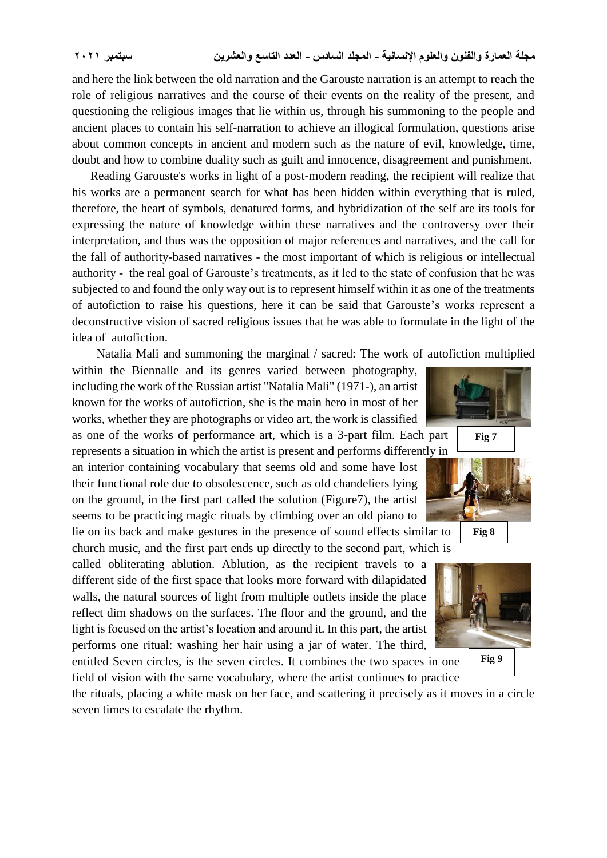and here the link between the old narration and the Garouste narration is an attempt to reach the role of religious narratives and the course of their events on the reality of the present, and questioning the religious images that lie within us, through his summoning to the people and ancient places to contain his self-narration to achieve an illogical formulation, questions arise about common concepts in ancient and modern such as the nature of evil, knowledge, time, doubt and how to combine duality such as guilt and innocence, disagreement and punishment.

 Reading Garouste's works in light of a post-modern reading, the recipient will realize that his works are a permanent search for what has been hidden within everything that is ruled, therefore, the heart of symbols, denatured forms, and hybridization of the self are its tools for expressing the nature of knowledge within these narratives and the controversy over their interpretation, and thus was the opposition of major references and narratives, and the call for the fall of authority-based narratives - the most important of which is religious or intellectual authority - the real goal of Garouste's treatments, as it led to the state of confusion that he was subjected to and found the only way out is to represent himself within it as one of the treatments of autofiction to raise his questions, here it can be said that Garouste's works represent a deconstructive vision of sacred religious issues that he was able to formulate in the light of the idea of autofiction.

Natalia Mali and summoning the marginal / sacred: The work of autofiction multiplied

within the Biennalle and its genres varied between photography, including the work of the Russian artist "Natalia Mali" (1971-), an artist known for the works of autofiction, she is the main hero in most of her works, whether they are photographs or video art, the work is classified as one of the works of performance art, which is a 3-part film. Each part

represents a situation in which the artist is present and performs differently in an interior containing vocabulary that seems old and some have lost their functional role due to obsolescence, such as old chandeliers lying on the ground, in the first part called the solution (Figure7), the artist seems to be practicing magic rituals by climbing over an old piano to lie on its back and make gestures in the presence of sound effects similar to

church music, and the first part ends up directly to the second part, which is

called obliterating ablution. Ablution, as the recipient travels to a different side of the first space that looks more forward with dilapidated walls, the natural sources of light from multiple outlets inside the place reflect dim shadows on the surfaces. The floor and the ground, and the light is focused on the artist's location and around it. In this part, the artist performs one ritual: washing her hair using a jar of water. The third,

entitled Seven circles, is the seven circles. It combines the two spaces in one field of vision with the same vocabulary, where the artist continues to practice

the rituals, placing a white mask on her face, and scattering it precisely as it moves in a circle seven times to escalate the rhythm.





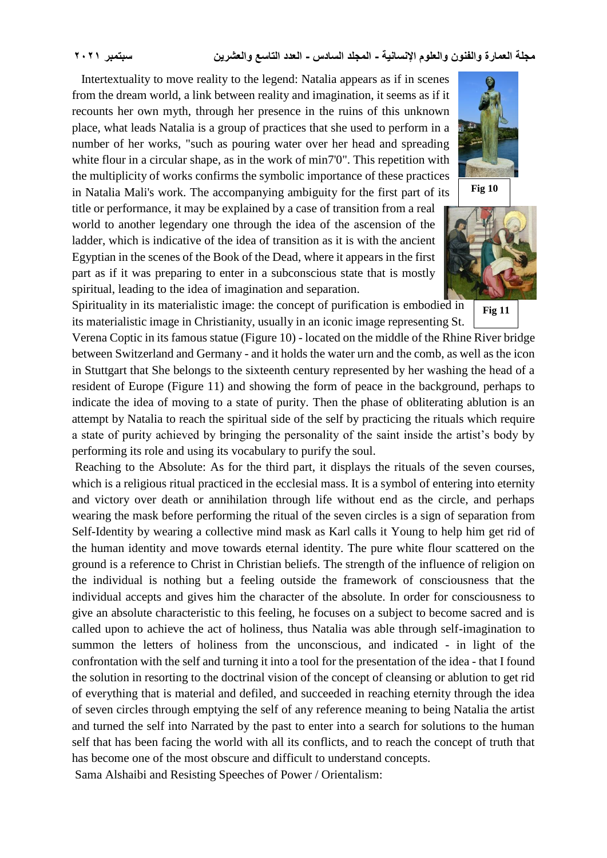Intertextuality to move reality to the legend: Natalia appears as if in scenes from the dream world, a link between reality and imagination, it seems as if it recounts her own myth, through her presence in the ruins of this unknown place, what leads Natalia is a group of practices that she used to perform in a number of her works, "such as pouring water over her head and spreading white flour in a circular shape, as in the work of min7'0". This repetition with the multiplicity of works confirms the symbolic importance of these practices in Natalia Mali's work. The accompanying ambiguity for the first part of its

title or performance, it may be explained by a case of transition from a real world to another legendary one through the idea of the ascension of the ladder, which is indicative of the idea of transition as it is with the ancient Egyptian in the scenes of the Book of the Dead, where it appears in the first part as if it was preparing to enter in a subconscious state that is mostly spiritual, leading to the idea of imagination and separation.





**Fig 11**

Spirituality in its materialistic image: the concept of purification is embodied in its materialistic image in Christianity, usually in an iconic image representing St.

Verena Coptic in its famous statue (Figure 10) - located on the middle of the Rhine River bridge between Switzerland and Germany - and it holds the water urn and the comb, as well as the icon in Stuttgart that She belongs to the sixteenth century represented by her washing the head of a resident of Europe (Figure 11) and showing the form of peace in the background, perhaps to indicate the idea of moving to a state of purity. Then the phase of obliterating ablution is an attempt by Natalia to reach the spiritual side of the self by practicing the rituals which require a state of purity achieved by bringing the personality of the saint inside the artist's body by performing its role and using its vocabulary to purify the soul.

Reaching to the Absolute: As for the third part, it displays the rituals of the seven courses, which is a religious ritual practiced in the ecclesial mass. It is a symbol of entering into eternity and victory over death or annihilation through life without end as the circle, and perhaps wearing the mask before performing the ritual of the seven circles is a sign of separation from Self-Identity by wearing a collective mind mask as Karl calls it Young to help him get rid of the human identity and move towards eternal identity. The pure white flour scattered on the ground is a reference to Christ in Christian beliefs. The strength of the influence of religion on the individual is nothing but a feeling outside the framework of consciousness that the individual accepts and gives him the character of the absolute. In order for consciousness to give an absolute characteristic to this feeling, he focuses on a subject to become sacred and is called upon to achieve the act of holiness, thus Natalia was able through self-imagination to summon the letters of holiness from the unconscious, and indicated - in light of the confrontation with the self and turning it into a tool for the presentation of the idea - that I found the solution in resorting to the doctrinal vision of the concept of cleansing or ablution to get rid of everything that is material and defiled, and succeeded in reaching eternity through the idea of seven circles through emptying the self of any reference meaning to being Natalia the artist and turned the self into Narrated by the past to enter into a search for solutions to the human self that has been facing the world with all its conflicts, and to reach the concept of truth that has become one of the most obscure and difficult to understand concepts.

Sama Alshaibi and Resisting Speeches of Power / Orientalism: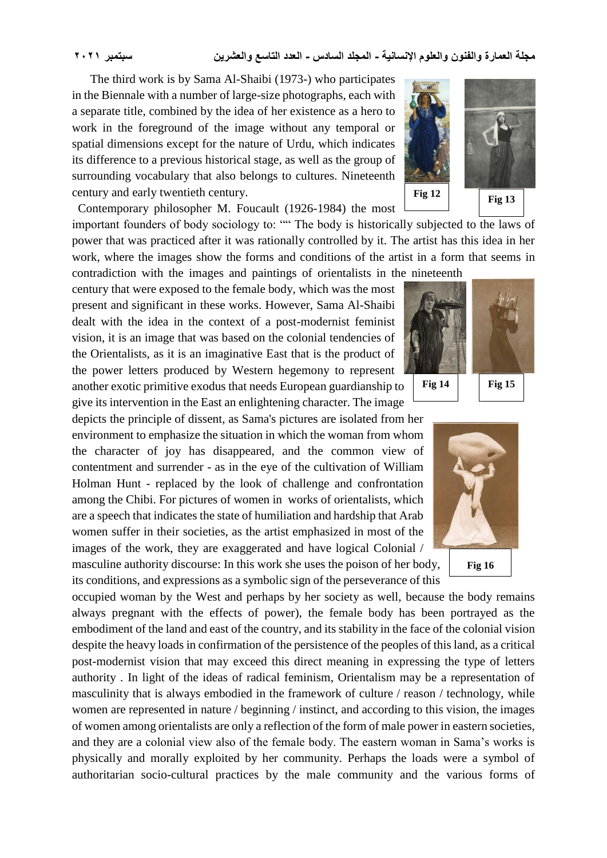The third work is by Sama Al-Shaibi (1973-) who participates in the Biennale with a number of large-size photographs, each with a separate title, combined by the idea of her existence as a hero to work in the foreground of the image without any temporal or spatial dimensions except for the nature of Urdu, which indicates its difference to a previous historical stage, as well as the group of surrounding vocabulary that also belongs to cultures. Nineteenth century and early twentieth century.

Contemporary philosopher M. Foucault (1926-1984) the most

important founders of body sociology to: "" The body is historically subjected to the laws of power that was practiced after it was rationally controlled by it. The artist has this idea in her work, where the images show the forms and conditions of the artist in a form that seems in contradiction with the images and paintings of orientalists in the nineteenth

century that were exposed to the female body, which was the most present and significant in these works. However, Sama Al-Shaibi dealt with the idea in the context of a post-modernist feminist vision, it is an image that was based on the colonial tendencies of the Orientalists, as it is an imaginative East that is the product of the power letters produced by Western hegemony to represent another exotic primitive exodus that needs European guardianship to give its intervention in the East an enlightening character. The image

depicts the principle of dissent, as Sama's pictures are isolated from her environment to emphasize the situation in which the woman from whom the character of joy has disappeared, and the common view of contentment and surrender - as in the eye of the cultivation of William Holman Hunt - replaced by the look of challenge and confrontation among the Chibi. For pictures of women in works of orientalists, which are a speech that indicates the state of humiliation and hardship that Arab women suffer in their societies, as the artist emphasized in most of the images of the work, they are exaggerated and have logical Colonial /

masculine authority discourse: In this work she uses the poison of her body, its conditions, and expressions as a symbolic sign of the perseverance of this

occupied woman by the West and perhaps by her society as well, because the body remains always pregnant with the effects of power), the female body has been portrayed as the embodiment of the land and east of the country, and its stability in the face of the colonial vision despite the heavy loads in confirmation of the persistence of the peoples of this land, as a critical post-modernist vision that may exceed this direct meaning in expressing the type of letters authority . In light of the ideas of radical feminism, Orientalism may be a representation of masculinity that is always embodied in the framework of culture / reason / technology, while women are represented in nature / beginning / instinct, and according to this vision, the images of women among orientalists are only a reflection of the form of male power in eastern societies, and they are a colonial view also of the female body. The eastern woman in Sama's works is physically and morally exploited by her community. Perhaps the loads were a symbol of authoritarian socio-cultural practices by the male community and the various forms of





**Fig 13**



**Fig 14 Fig 15**



**Fig 16**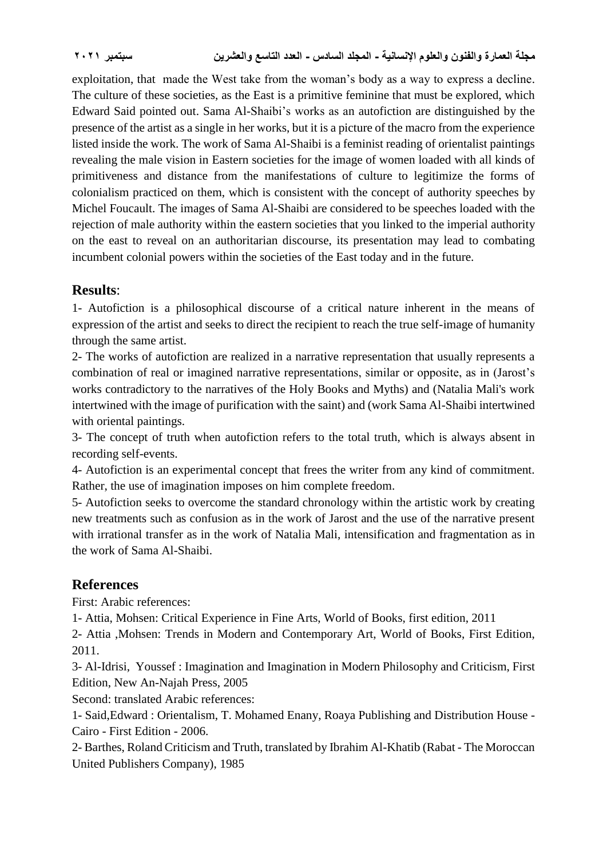exploitation, that made the West take from the woman's body as a way to express a decline. The culture of these societies, as the East is a primitive feminine that must be explored, which Edward Said pointed out. Sama Al-Shaibi's works as an autofiction are distinguished by the presence of the artist as a single in her works, but it is a picture of the macro from the experience listed inside the work. The work of Sama Al-Shaibi is a feminist reading of orientalist paintings revealing the male vision in Eastern societies for the image of women loaded with all kinds of primitiveness and distance from the manifestations of culture to legitimize the forms of colonialism practiced on them, which is consistent with the concept of authority speeches by Michel Foucault. The images of Sama Al-Shaibi are considered to be speeches loaded with the rejection of male authority within the eastern societies that you linked to the imperial authority on the east to reveal on an authoritarian discourse, its presentation may lead to combating incumbent colonial powers within the societies of the East today and in the future.

### **Results**:

1- Autofiction is a philosophical discourse of a critical nature inherent in the means of expression of the artist and seeks to direct the recipient to reach the true self-image of humanity through the same artist.

2- The works of autofiction are realized in a narrative representation that usually represents a combination of real or imagined narrative representations, similar or opposite, as in (Jarost's works contradictory to the narratives of the Holy Books and Myths) and (Natalia Mali's work intertwined with the image of purification with the saint) and (work Sama Al-Shaibi intertwined with oriental paintings.

3- The concept of truth when autofiction refers to the total truth, which is always absent in recording self-events.

4- Autofiction is an experimental concept that frees the writer from any kind of commitment. Rather, the use of imagination imposes on him complete freedom.

5- Autofiction seeks to overcome the standard chronology within the artistic work by creating new treatments such as confusion as in the work of Jarost and the use of the narrative present with irrational transfer as in the work of Natalia Mali, intensification and fragmentation as in the work of Sama Al-Shaibi.

## **References**

First: Arabic references:

1- Attia, Mohsen: Critical Experience in Fine Arts, World of Books, first edition, 2011

2- Attia ,Mohsen: Trends in Modern and Contemporary Art, World of Books, First Edition, 2011.

3- Al-Idrisi, Youssef : Imagination and Imagination in Modern Philosophy and Criticism, First Edition, New An-Najah Press, 2005

Second: translated Arabic references:

1- Said,Edward : Orientalism, T. Mohamed Enany, Roaya Publishing and Distribution House - Cairo - First Edition - 2006.

2- Barthes, Roland Criticism and Truth, translated by Ibrahim Al-Khatib (Rabat - The Moroccan United Publishers Company), 1985